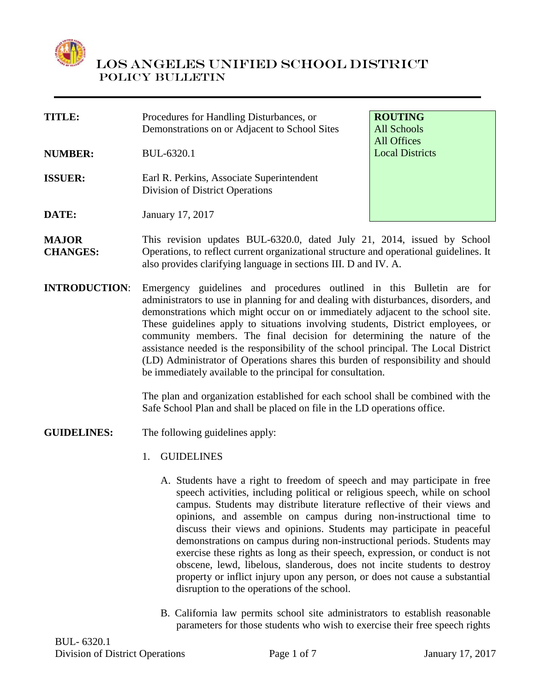

**TITLE:** Procedures for Handling Disturbances, or Demonstrations on or Adjacent to School Sites **ROUTING** All Schools All Offices **NUMBER:** BUL-6320.1 **ISSUER:** Earl R. Perkins, Associate Superintendent Division of District Operations

**DATE:** January 17, 2017

Local Districts

- **MAJOR CHANGES:** This revision updates BUL-6320.0, dated July 21, 2014, issued by School Operations, to reflect current organizational structure and operational guidelines. It also provides clarifying language in sections III. D and IV. A.
- **INTRODUCTION**: Emergency guidelines and procedures outlined in this Bulletin are for administrators to use in planning for and dealing with disturbances, disorders, and demonstrations which might occur on or immediately adjacent to the school site. These guidelines apply to situations involving students, District employees, or community members. The final decision for determining the nature of the assistance needed is the responsibility of the school principal. The Local District (LD) Administrator of Operations shares this burden of responsibility and should be immediately available to the principal for consultation.

The plan and organization established for each school shall be combined with the Safe School Plan and shall be placed on file in the LD operations office.

**GUIDELINES:** The following guidelines apply:

- 1. GUIDELINES
	- A. Students have a right to freedom of speech and may participate in free speech activities, including political or religious speech, while on school campus. Students may distribute literature reflective of their views and opinions, and assemble on campus during non-instructional time to discuss their views and opinions. Students may participate in peaceful demonstrations on campus during non-instructional periods. Students may exercise these rights as long as their speech, expression, or conduct is not obscene, lewd, libelous, slanderous, does not incite students to destroy property or inflict injury upon any person, or does not cause a substantial disruption to the operations of the school.
	- B. California law permits school site administrators to establish reasonable parameters for those students who wish to exercise their free speech rights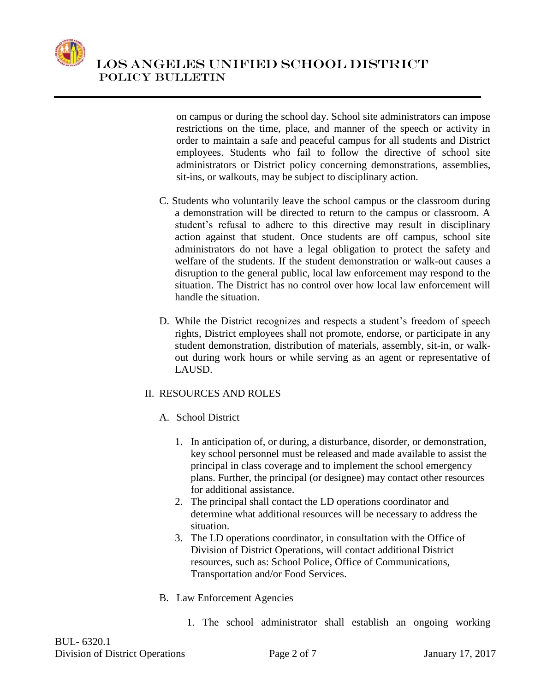

on campus or during the school day. School site administrators can impose restrictions on the time, place, and manner of the speech or activity in order to maintain a safe and peaceful campus for all students and District employees. Students who fail to follow the directive of school site administrators or District policy concerning demonstrations, assemblies, sit-ins, or walkouts, may be subject to disciplinary action.

- C. Students who voluntarily leave the school campus or the classroom during a demonstration will be directed to return to the campus or classroom. A student's refusal to adhere to this directive may result in disciplinary action against that student. Once students are off campus, school site administrators do not have a legal obligation to protect the safety and welfare of the students. If the student demonstration or walk-out causes a disruption to the general public, local law enforcement may respond to the situation. The District has no control over how local law enforcement will handle the situation.
- D. While the District recognizes and respects a student's freedom of speech rights, District employees shall not promote, endorse, or participate in any student demonstration, distribution of materials, assembly, sit-in, or walkout during work hours or while serving as an agent or representative of LAUSD.

## II. RESOURCES AND ROLES

- A. School District
	- 1. In anticipation of, or during, a disturbance, disorder, or demonstration, key school personnel must be released and made available to assist the principal in class coverage and to implement the school emergency plans. Further, the principal (or designee) may contact other resources for additional assistance.
	- 2. The principal shall contact the LD operations coordinator and determine what additional resources will be necessary to address the situation.
	- 3. The LD operations coordinator, in consultation with the Office of Division of District Operations, will contact additional District resources, such as: School Police, Office of Communications, Transportation and/or Food Services.
- B. Law Enforcement Agencies
	- 1. The school administrator shall establish an ongoing working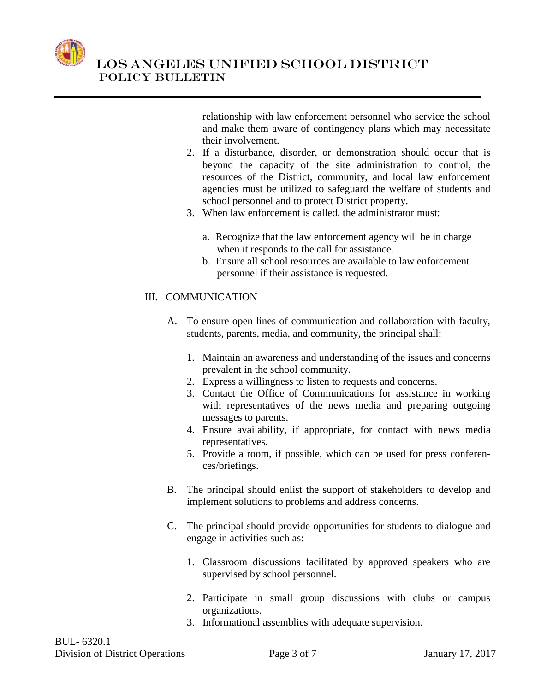

relationship with law enforcement personnel who service the school and make them aware of contingency plans which may necessitate their involvement.

- 2. If a disturbance, disorder, or demonstration should occur that is beyond the capacity of the site administration to control, the resources of the District, community, and local law enforcement agencies must be utilized to safeguard the welfare of students and school personnel and to protect District property.
- 3. When law enforcement is called, the administrator must:
	- a. Recognize that the law enforcement agency will be in charge when it responds to the call for assistance.
	- b. Ensure all school resources are available to law enforcement personnel if their assistance is requested.

## III. COMMUNICATION

- A. To ensure open lines of communication and collaboration with faculty, students, parents, media, and community, the principal shall:
	- 1. Maintain an awareness and understanding of the issues and concerns prevalent in the school community.
	- 2. Express a willingness to listen to requests and concerns.
	- 3. Contact the Office of Communications for assistance in working with representatives of the news media and preparing outgoing messages to parents.
	- 4. Ensure availability, if appropriate, for contact with news media representatives.
	- 5. Provide a room, if possible, which can be used for press conferences/briefings.
- B. The principal should enlist the support of stakeholders to develop and implement solutions to problems and address concerns.
- C. The principal should provide opportunities for students to dialogue and engage in activities such as:
	- 1. Classroom discussions facilitated by approved speakers who are supervised by school personnel.
	- 2. Participate in small group discussions with clubs or campus organizations.
	- 3. Informational assemblies with adequate supervision.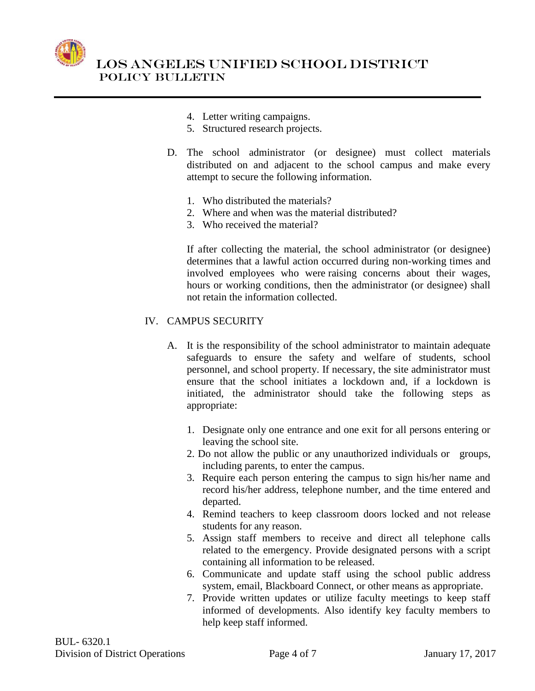

- 4. Letter writing campaigns.
- 5. Structured research projects.
- D. The school administrator (or designee) must collect materials distributed on and adjacent to the school campus and make every attempt to secure the following information.
	- 1. Who distributed the materials?
	- 2. Where and when was the material distributed?
	- 3. Who received the material?

If after collecting the material, the school administrator (or designee) determines that a lawful action occurred during non-working times and involved employees who were raising concerns about their wages, hours or working conditions, then the administrator (or designee) shall not retain the information collected.

#### IV. CAMPUS SECURITY

- A. It is the responsibility of the school administrator to maintain adequate safeguards to ensure the safety and welfare of students, school personnel, and school property. If necessary, the site administrator must ensure that the school initiates a lockdown and, if a lockdown is initiated, the administrator should take the following steps as appropriate:
	- 1. Designate only one entrance and one exit for all persons entering or leaving the school site.
	- 2. Do not allow the public or any unauthorized individuals or groups, including parents, to enter the campus.
	- 3. Require each person entering the campus to sign his/her name and record his/her address, telephone number, and the time entered and departed.
	- 4. Remind teachers to keep classroom doors locked and not release students for any reason.
	- 5. Assign staff members to receive and direct all telephone calls related to the emergency. Provide designated persons with a script containing all information to be released.
	- 6. Communicate and update staff using the school public address system, email, Blackboard Connect, or other means as appropriate.
	- 7. Provide written updates or utilize faculty meetings to keep staff informed of developments. Also identify key faculty members to help keep staff informed.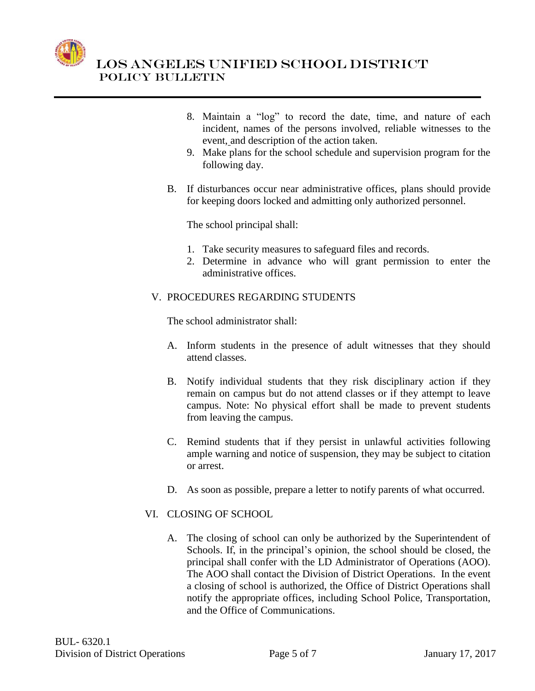

- 8. Maintain a "log" to record the date, time, and nature of each incident, names of the persons involved, reliable witnesses to the event, and description of the action taken.
- 9. Make plans for the school schedule and supervision program for the following day.
- B. If disturbances occur near administrative offices, plans should provide for keeping doors locked and admitting only authorized personnel.

The school principal shall:

- 1. Take security measures to safeguard files and records.
- 2. Determine in advance who will grant permission to enter the administrative offices.

#### V. PROCEDURES REGARDING STUDENTS

The school administrator shall:

- A. Inform students in the presence of adult witnesses that they should attend classes.
- B. Notify individual students that they risk disciplinary action if they remain on campus but do not attend classes or if they attempt to leave campus. Note: No physical effort shall be made to prevent students from leaving the campus.
- C. Remind students that if they persist in unlawful activities following ample warning and notice of suspension, they may be subject to citation or arrest.
- D. As soon as possible, prepare a letter to notify parents of what occurred.

## VI. CLOSING OF SCHOOL

A. The closing of school can only be authorized by the Superintendent of Schools. If, in the principal's opinion, the school should be closed, the principal shall confer with the LD Administrator of Operations (AOO). The AOO shall contact the Division of District Operations. In the event a closing of school is authorized, the Office of District Operations shall notify the appropriate offices, including School Police, Transportation, and the Office of Communications.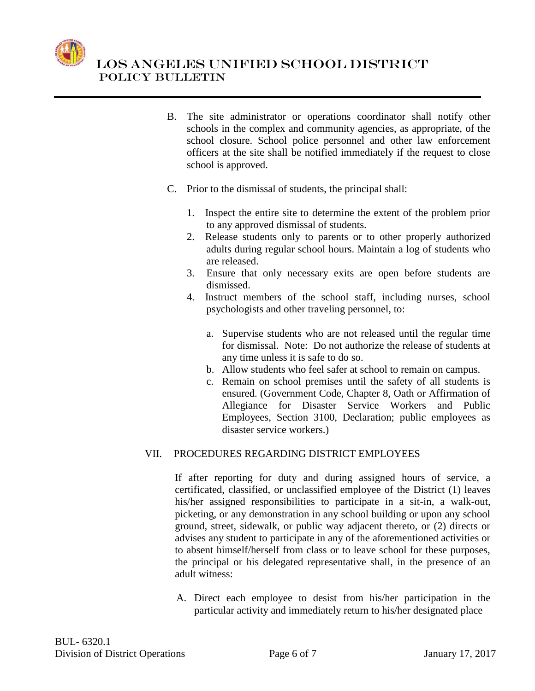

- B. The site administrator or operations coordinator shall notify other schools in the complex and community agencies, as appropriate, of the school closure. School police personnel and other law enforcement officers at the site shall be notified immediately if the request to close school is approved.
- C. Prior to the dismissal of students, the principal shall:
	- 1. Inspect the entire site to determine the extent of the problem prior to any approved dismissal of students.
	- 2. Release students only to parents or to other properly authorized adults during regular school hours. Maintain a log of students who are released.
	- 3. Ensure that only necessary exits are open before students are dismissed.
	- 4. Instruct members of the school staff, including nurses, school psychologists and other traveling personnel, to:
		- a. Supervise students who are not released until the regular time for dismissal. Note: Do not authorize the release of students at any time unless it is safe to do so.
		- b. Allow students who feel safer at school to remain on campus.
		- c. Remain on school premises until the safety of all students is ensured. (Government Code, Chapter 8, Oath or Affirmation of Allegiance for Disaster Service Workers and Public Employees, Section 3100, Declaration; public employees as disaster service workers.)

## VII. PROCEDURES REGARDING DISTRICT EMPLOYEES

If after reporting for duty and during assigned hours of service, a certificated, classified, or unclassified employee of the District (1) leaves his/her assigned responsibilities to participate in a sit-in, a walk-out, picketing, or any demonstration in any school building or upon any school ground, street, sidewalk, or public way adjacent thereto, or (2) directs or advises any student to participate in any of the aforementioned activities or to absent himself/herself from class or to leave school for these purposes, the principal or his delegated representative shall, in the presence of an adult witness:

A. Direct each employee to desist from his/her participation in the particular activity and immediately return to his/her designated place